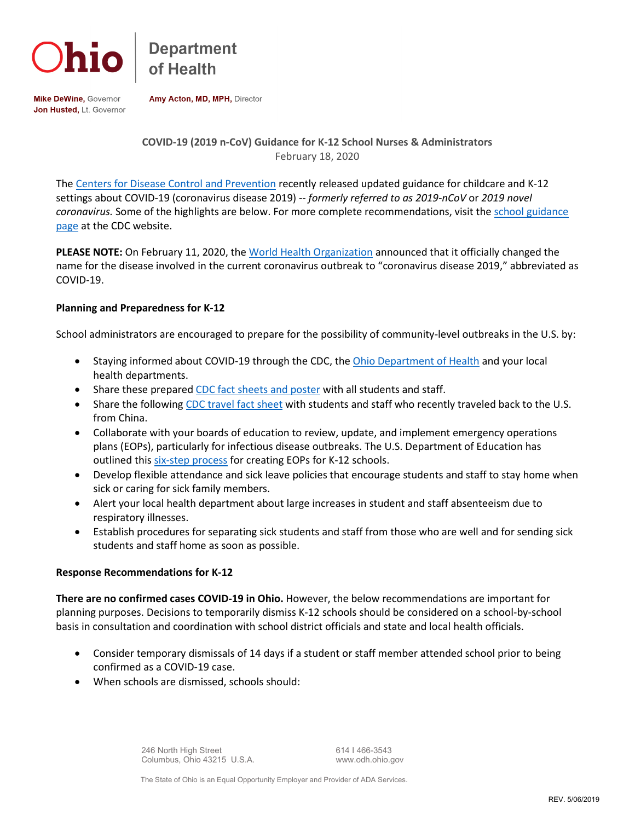

**Department** 

Mike DeWine, Governor Jon Husted, Lt. Governor Amy Acton, MD, MPH, Director

## **COVID-19 (2019 n-CoV) Guidance for K-12 School Nurses & Administrators** February 18, 2020

The [Centers for Disease Control and Prevention](https://www.cdc.gov/coronavirus/2019-ncov/index.html) recently released updated guidance for childcare and K-12 settings about COVID-19 (coronavirus disease 2019) -- *formerly referred to as 2019-nCoV* or *2019 novel coronavirus.* Some of the highlights are below. For more complete recommendations, visit th[e school guidance](https://www.cdc.gov/coronavirus/2019-ncov/specific-groups/guidance-for-schools.html)  [page](https://www.cdc.gov/coronavirus/2019-ncov/specific-groups/guidance-for-schools.html) at the CDC website.

**PLEASE NOTE:** On February 11, 2020, the [World Health Organization](https://www.who.int/emergencies/diseases/novel-coronavirus-2019) announced that it officially changed the name for the disease involved in the current coronavirus outbreak to "coronavirus disease 2019," abbreviated as COVID-19.

## **Planning and Preparedness for K-12**

School administrators are encouraged to prepare for the possibility of community-level outbreaks in the U.S. by:

- Staying informed about COVID-19 through the CDC, the [Ohio Department of Health](http://www.odh.ohio.gov/) and your local health departments.
- Share these prepared [CDC fact sheets and poster](https://www.cdc.gov/coronavirus/2019-ncov/communication/factsheets.html) with all students and staff.
- Share the following [CDC travel fact sheet](https://www.cdc.gov/coronavirus/2019-ncov/travelers/communication-resources.html) with students and staff who recently traveled back to the U.S. from China.
- Collaborate with your boards of education to review, update, and implement emergency operations plans (EOPs), particularly for infectious disease outbreaks. The U.S. Department of Education has outlined thi[s six-step process](https://rems.ed.gov/K12GuideForDevelHQSchool.aspxexternal%20icon) for creating EOPs for K-12 schools.
- Develop flexible attendance and sick leave policies that encourage students and staff to stay home when sick or caring for sick family members.
- Alert your local health department about large increases in student and staff absenteeism due to respiratory illnesses.
- Establish procedures for separating sick students and staff from those who are well and for sending sick students and staff home as soon as possible.

## **Response Recommendations for K-12**

**There are no confirmed cases COVID-19 in Ohio.** However, the below recommendations are important for planning purposes. Decisions to temporarily dismiss K-12 schools should be considered on a school-by-school basis in consultation and coordination with school district officials and state and local health officials.

- Consider temporary dismissals of 14 days if a student or staff member attended school prior to being confirmed as a COVID-19 case.
- When schools are dismissed, schools should:

246 North High Street 614 I 466-3543 Columbus, Ohio 43215 U.S.A. www.odh.ohio.gov

The State of Ohio is an Equal Opportunity Employer and Provider of ADA Services.